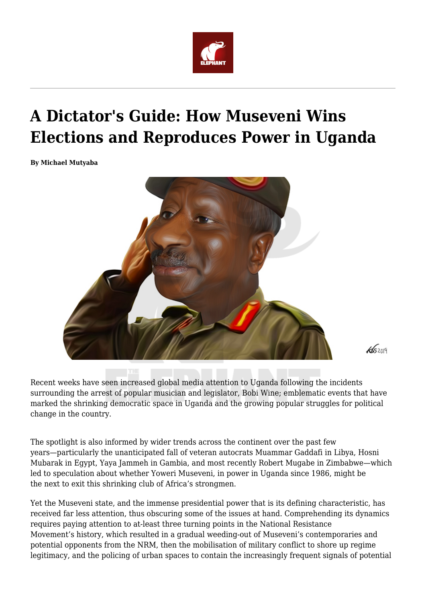

## **A Dictator's Guide: How Museveni Wins Elections and Reproduces Power in Uganda**

**By Michael Mutyaba**



 $45209$ 

Recent weeks have seen increased global media attention to Uganda following the incidents surrounding the arrest of popular musician and legislator, Bobi Wine; emblematic events that have marked the shrinking democratic space in Uganda and the growing popular struggles for political change in the country.

The spotlight is also informed by wider trends across the continent over the past few years—particularly the unanticipated fall of veteran autocrats Muammar Gaddafi in Libya, Hosni Mubarak in Egypt, Yaya Jammeh in Gambia, and most recently Robert Mugabe in Zimbabwe—which led to speculation about whether Yoweri Museveni, in power in Uganda since 1986, might be the next to exit this shrinking club of Africa's strongmen.

Yet the Museveni state, and the immense presidential power that is its defining characteristic, has received far less attention, thus obscuring some of the issues at hand. Comprehending its dynamics requires paying attention to at-least three turning points in the National Resistance Movement's history, which resulted in a gradual weeding-out of Museveni's contemporaries and potential opponents from the NRM, then the mobilisation of military conflict to shore up regime legitimacy, and the policing of urban spaces to contain the increasingly frequent signals of potential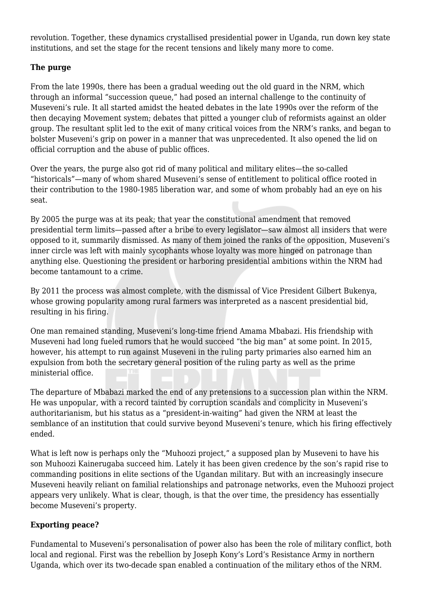revolution. Together, these dynamics crystallised presidential power in Uganda, run down key state institutions, and set the stage for the recent tensions and likely many more to come.

## **The purge**

From the late 1990s, there has been a gradual weeding out the old guard in the NRM, which through an informal "succession queue," had posed an internal challenge to the continuity of Museveni's rule. It all started amidst the heated debates in the late 1990s over the reform of the then decaying Movement system; debates that pitted a younger club of reformists against an older group. The resultant split led to the exit of many critical voices from the NRM's ranks, and began to bolster Museveni's grip on power in a manner that was unprecedented. It also opened the lid on official corruption and the abuse of public offices.

Over the years, the purge also got rid of many political and military elites—the so-called "historicals"—many of whom shared Museveni's sense of entitlement to political office rooted in their contribution to the 1980-1985 liberation war, and some of whom probably had an eye on his seat.

By 2005 the purge was at its peak; that year the constitutional amendment that removed presidential term limits—passed after a bribe to every legislator—saw almost all insiders that were opposed to it, summarily dismissed. As many of them joined the ranks of the opposition, Museveni's inner circle was left with mainly sycophants whose loyalty was more hinged on patronage than anything else. Questioning the president or harboring presidential ambitions within the NRM had become tantamount to a crime.

By 2011 the process was almost complete, with the dismissal of Vice President Gilbert Bukenya, whose growing popularity among rural farmers was interpreted as a nascent presidential bid, resulting in his firing.

One man remained standing, Museveni's long-time friend Amama Mbabazi. His friendship with Museveni had long fueled rumors that he would succeed "the big man" at some point. In 2015, however, his attempt to run against Museveni in the ruling party primaries also earned him an expulsion from both the secretary general position of the ruling party as well as the prime ministerial office.

The departure of Mbabazi marked the end of any pretensions to a succession plan within the NRM. He was unpopular, with a record tainted by corruption scandals and complicity in Museveni's authoritarianism, but his status as a "president-in-waiting" had given the NRM at least the semblance of an institution that could survive beyond Museveni's tenure, which his firing effectively ended.

What is left now is perhaps only the "Muhoozi project," a supposed plan by Museveni to have his son Muhoozi Kainerugaba succeed him. Lately it has been given credence by the son's rapid rise to commanding positions in elite sections of the Ugandan military. But with an increasingly insecure Museveni heavily reliant on familial relationships and patronage networks, even the Muhoozi project appears very unlikely. What is clear, though, is that the over time, the presidency has essentially become Museveni's property.

## **Exporting peace?**

Fundamental to Museveni's personalisation of power also has been the role of military conflict, both local and regional. First was the rebellion by Joseph Kony's Lord's Resistance Army in northern Uganda, which over its two-decade span enabled a continuation of the military ethos of the NRM.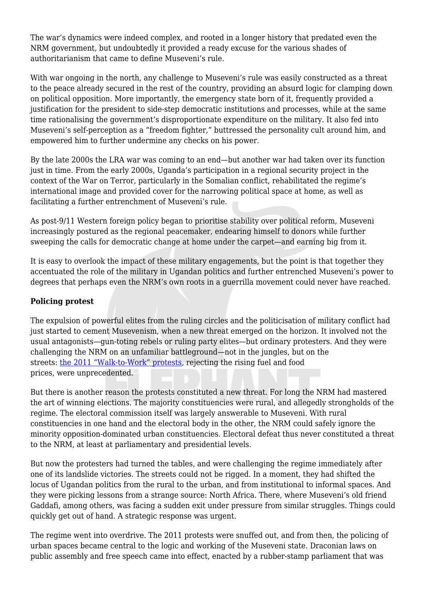The war's dynamics were indeed complex, and rooted in a longer history that predated even the NRM government, but undoubtedly it provided a ready excuse for the various shades of authoritarianism that came to define Museveni's rule.

With war ongoing in the north, any challenge to Museveni's rule was easily constructed as a threat to the peace already secured in the rest of the country, providing an absurd logic for clamping down on political opposition. More importantly, the emergency state born of it, frequently provided a justification for the president to side-step democratic institutions and processes, while at the same time rationalising the government's disproportionate expenditure on the military. It also fed into Museveni's self-perception as a "freedom fighter," buttressed the personality cult around him, and empowered him to further undermine any checks on his power.

By the late 2000s the LRA war was coming to an end—but another war had taken over its function just in time. From the early 2000s, Uganda's participation in a regional security project in the context of the War on Terror, particularly in the Somalian conflict, rehabilitated the regime's international image and provided cover for the narrowing political space at home, as well as facilitating a further entrenchment of Museveni's rule.

As post-9/11 Western foreign policy began to prioritise stability over political reform, Museveni increasingly postured as the regional peacemaker, endearing himself to donors while further sweeping the calls for democratic change at home under the carpet—and earning big from it.

It is easy to overlook the impact of these military engagements, but the point is that together they accentuated the role of the military in Ugandan politics and further entrenched Museveni's power to degrees that perhaps even the NRM's own roots in a guerrilla movement could never have reached.

## **Policing protest**

The expulsion of powerful elites from the ruling circles and the politicisation of military conflict had just started to cement Musevenism, when a new threat emerged on the horizon. It involved not the usual antagonists—gun-toting rebels or ruling party elites—but ordinary protesters. And they were challenging the NRM on an unfamiliar battleground—not in the jungles, but on the streets: [the 2011 "Walk-to-Work" protests](https://www.aljazeera.com/indepth/features/2011/04/201142831330647345.html), rejecting the rising fuel and food prices, were unprecedented.

But there is another reason the protests constituted a new threat. For long the NRM had mastered the art of winning elections. The majority constituencies were rural, and allegedly strongholds of the regime. The electoral commission itself was largely answerable to Museveni. With rural constituencies in one hand and the electoral body in the other, the NRM could safely ignore the minority opposition-dominated urban constituencies. Electoral defeat thus never constituted a threat to the NRM, at least at parliamentary and presidential levels.

But now the protesters had turned the tables, and were challenging the regime immediately after one of its landslide victories. The streets could not be rigged. In a moment, they had shifted the locus of Ugandan politics from the rural to the urban, and from institutional to informal spaces. And they were picking lessons from a strange source: North Africa. There, where Museveni's old friend Gaddafi, among others, was facing a sudden exit under pressure from similar struggles. Things could quickly get out of hand. A strategic response was urgent.

The regime went into overdrive. The 2011 protests were snuffed out, and from then, the policing of urban spaces became central to the logic and working of the Museveni state. Draconian laws on public assembly and free speech came into effect, enacted by a rubber-stamp parliament that was